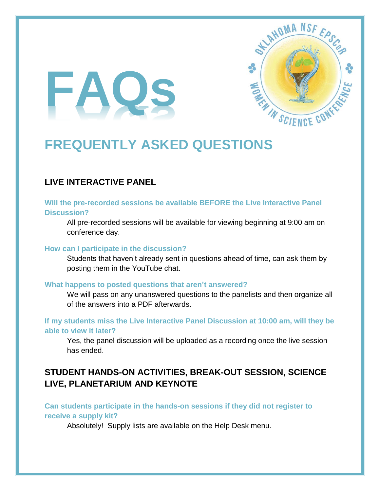# **FAQs**



# **FREQUENTLY ASKED QUESTIONS**

# **LIVE INTERACTIVE PANEL**

#### **Will the pre-recorded sessions be available BEFORE the Live Interactive Panel Discussion?**

All pre-recorded sessions will be available for viewing beginning at 9:00 am on conference day.

#### **How can I participate in the discussion?**

Students that haven't already sent in questions ahead of time, can ask them by posting them in the YouTube chat.

#### **What happens to posted questions that aren't answered?**

We will pass on any unanswered questions to the panelists and then organize all of the answers into a PDF afterwards.

**If my students miss the Live Interactive Panel Discussion at 10:00 am, will they be able to view it later?**

Yes, the panel discussion will be uploaded as a recording once the live session has ended.

# **STUDENT HANDS-ON ACTIVITIES, BREAK-OUT SESSION, SCIENCE LIVE, PLANETARIUM AND KEYNOTE**

**Can students participate in the hands-on sessions if they did not register to receive a supply kit?**

Absolutely! Supply lists are available on the Help Desk menu.